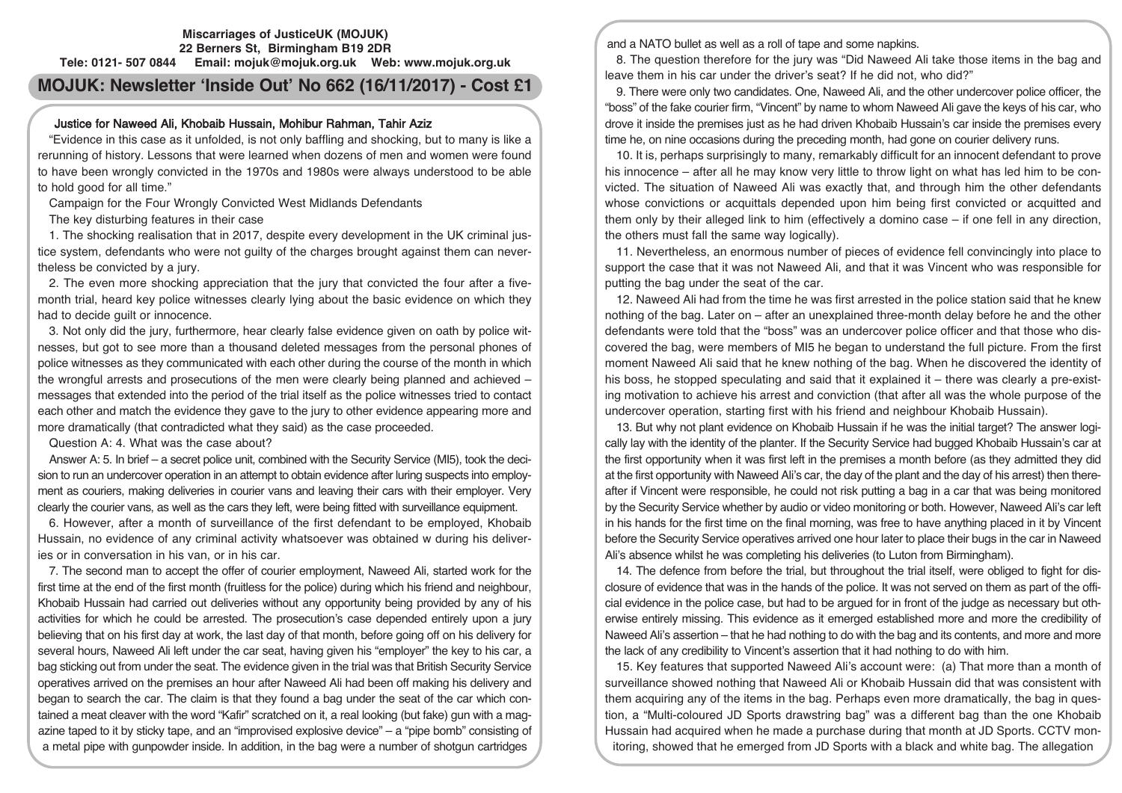#### **Miscarriages of JusticeUK (MOJUK) 22 Berners St, Birmingham B19 2DR Tele: 0121- 507 0844 Email: mojuk@mojuk.org.uk Web: www.mojuk.org.uk**

# **MOJUK: Newsletter 'Inside Out' No 662 (16/11/2017) - Cost £1**

## Justice for Naweed Ali, Khobaib Hussain, Mohibur Rahman, Tahir Aziz

"Evidence in this case as it unfolded, is not only baffling and shocking, but to many is like a rerunning of history. Lessons that were learned when dozens of men and women were found to have been wrongly convicted in the 1970s and 1980s were always understood to be able to hold good for all time."

Campaign for the Four Wrongly Convicted West Midlands Defendants

The key disturbing features in their case

1. The shocking realisation that in 2017, despite every development in the UK criminal justice system, defendants who were not guilty of the charges brought against them can nevertheless be convicted by a jury.

2. The even more shocking appreciation that the jury that convicted the four after a fivemonth trial, heard key police witnesses clearly lying about the basic evidence on which they had to decide guilt or innocence.

3. Not only did the jury, furthermore, hear clearly false evidence given on oath by police witnesses, but got to see more than a thousand deleted messages from the personal phones of police witnesses as they communicated with each other during the course of the month in which the wrongful arrests and prosecutions of the men were clearly being planned and achieved – messages that extended into the period of the trial itself as the police witnesses tried to contact each other and match the evidence they gave to the jury to other evidence appearing more and more dramatically (that contradicted what they said) as the case proceeded.

Question A: 4. What was the case about?

Answer A: 5. In brief – a secret police unit, combined with the Security Service (MI5), took the decision to run an undercover operation in an attempt to obtain evidence after luring suspects into employment as couriers, making deliveries in courier vans and leaving their cars with their employer. Very clearly the courier vans, as well as the cars they left, were being fitted with surveillance equipment.

6. However, after a month of surveillance of the first defendant to be employed, Khobaib Hussain, no evidence of any criminal activity whatsoever was obtained w during his deliveries or in conversation in his van, or in his car.

7. The second man to accept the offer of courier employment, Naweed Ali, started work for the first time at the end of the first month (fruitless for the police) during which his friend and neighbour, Khobaib Hussain had carried out deliveries without any opportunity being provided by any of his activities for which he could be arrested. The prosecution's case depended entirely upon a jury believing that on his first day at work, the last day of that month, before going off on his delivery for several hours, Naweed Ali left under the car seat, having given his "employer" the key to his car, a bag sticking out from under the seat. The evidence given in the trial was that British Security Service operatives arrived on the premises an hour after Naweed Ali had been off making his delivery and began to search the car. The claim is that they found a bag under the seat of the car which contained a meat cleaver with the word "Kafir" scratched on it, a real looking (but fake) gun with a magazine taped to it by sticky tape, and an "improvised explosive device"  $-$  a "pipe bomb" consisting of a metal pipe with gunpowder inside. In addition, in the bag were a number of shotgun cartridges

and a NATO bullet as well as a roll of tape and some napkins.

8. The question therefore for the jury was "Did Naweed Ali take those items in the bag and leave them in his car under the driver's seat? If he did not, who did?"

9. There were only two candidates. One, Naweed Ali, and the other undercover police officer, the "boss" of the fake courier firm, "Vincent" by name to whom Naweed Ali gave the keys of his car, who drove it inside the premises just as he had driven Khobaib Hussain's car inside the premises every time he, on nine occasions during the preceding month, had gone on courier delivery runs.

10. It is, perhaps surprisingly to many, remarkably difficult for an innocent defendant to prove his innocence – after all he may know very little to throw light on what has led him to be convicted. The situation of Naweed Ali was exactly that, and through him the other defendants whose convictions or acquittals depended upon him being first convicted or acquitted and them only by their alleged link to him (effectively a domino case – if one fell in any direction, the others must fall the same way logically).

11. Nevertheless, an enormous number of pieces of evidence fell convincingly into place to support the case that it was not Naweed Ali, and that it was Vincent who was responsible for putting the bag under the seat of the car.

12. Naweed Ali had from the time he was first arrested in the police station said that he knew nothing of the bag. Later on – after an unexplained three-month delay before he and the other defendants were told that the "boss" was an undercover police officer and that those who discovered the bag, were members of MI5 he began to understand the full picture. From the first moment Naweed Ali said that he knew nothing of the bag. When he discovered the identity of his boss, he stopped speculating and said that it explained it – there was clearly a pre-existing motivation to achieve his arrest and conviction (that after all was the whole purpose of the undercover operation, starting first with his friend and neighbour Khobaib Hussain).

13. But why not plant evidence on Khobaib Hussain if he was the initial target? The answer logically lay with the identity of the planter. If the Security Service had bugged Khobaib Hussain's car at the first opportunity when it was first left in the premises a month before (as they admitted they did at the first opportunity with Naweed Ali's car, the day of the plant and the day of his arrest) then thereafter if Vincent were responsible, he could not risk putting a bag in a car that was being monitored by the Security Service whether by audio or video monitoring or both. However, Naweed Ali's car left in his hands for the first time on the final morning, was free to have anything placed in it by Vincent before the Security Service operatives arrived one hour later to place their bugs in the car in Naweed Ali's absence whilst he was completing his deliveries (to Luton from Birmingham).

14. The defence from before the trial, but throughout the trial itself, were obliged to fight for disclosure of evidence that was in the hands of the police. It was not served on them as part of the official evidence in the police case, but had to be argued for in front of the judge as necessary but otherwise entirely missing. This evidence as it emerged established more and more the credibility of Naweed Ali's assertion – that he had nothing to do with the bag and its contents, and more and more the lack of any credibility to Vincent's assertion that it had nothing to do with him.

15. Key features that supported Naweed Ali's account were: (a) That more than a month of surveillance showed nothing that Naweed Ali or Khobaib Hussain did that was consistent with them acquiring any of the items in the bag. Perhaps even more dramatically, the bag in question, a "Multi-coloured JD Sports drawstring bag" was a different bag than the one Khobaib Hussain had acquired when he made a purchase during that month at JD Sports. CCTV monitoring, showed that he emerged from JD Sports with a black and white bag. The allegation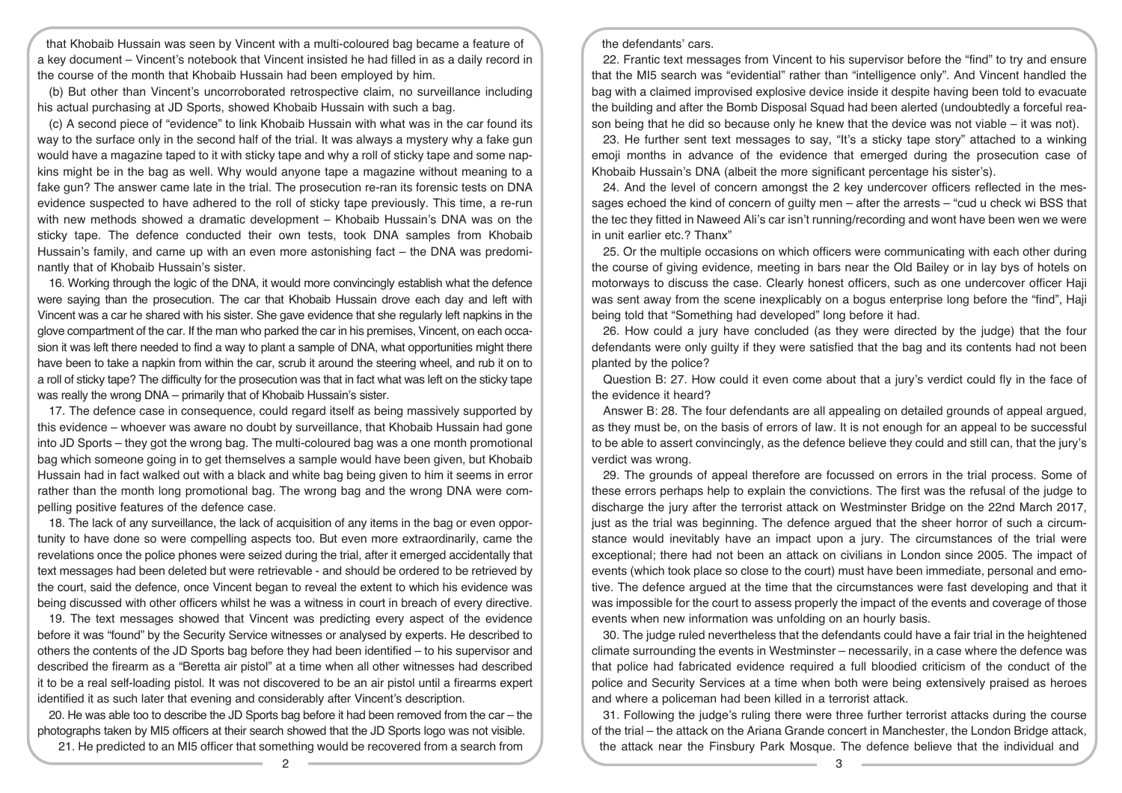that Khobaib Hussain was seen by Vincent with a multi-coloured bag became a feature of a key document – Vincent's notebook that Vincent insisted he had filled in as a daily record in the course of the month that Khobaib Hussain had been employed by him.

(b) But other than Vincent's uncorroborated retrospective claim, no surveillance including his actual purchasing at JD Sports, showed Khobaib Hussain with such a bag.

(c) A second piece of "evidence" to link Khobaib Hussain with what was in the car found its way to the surface only in the second half of the trial. It was always a mystery why a fake gun would have a magazine taped to it with sticky tape and why a roll of sticky tape and some napkins might be in the bag as well. Why would anyone tape a magazine without meaning to a fake gun? The answer came late in the trial. The prosecution re-ran its forensic tests on DNA evidence suspected to have adhered to the roll of sticky tape previously. This time, a re-run with new methods showed a dramatic development – Khobaib Hussain's DNA was on the sticky tape. The defence conducted their own tests, took DNA samples from Khobaib Hussain's family, and came up with an even more astonishing fact – the DNA was predominantly that of Khobaib Hussain's sister.

16. Working through the logic of the DNA, it would more convincingly establish what the defence were saying than the prosecution. The car that Khobaib Hussain drove each day and left with Vincent was a car he shared with his sister. She gave evidence that she regularly left napkins in the glove compartment of the car. If the man who parked the car in his premises, Vincent, on each occasion it was left there needed to find a way to plant a sample of DNA, what opportunities might there have been to take a napkin from within the car, scrub it around the steering wheel, and rub it on to a roll of sticky tape? The difficulty for the prosecution was that in fact what was left on the sticky tape was really the wrong DNA – primarily that of Khobaib Hussain's sister.

17. The defence case in consequence, could regard itself as being massively supported by this evidence – whoever was aware no doubt by surveillance, that Khobaib Hussain had gone into JD Sports – they got the wrong bag. The multi-coloured bag was a one month promotional bag which someone going in to get themselves a sample would have been given, but Khobaib Hussain had in fact walked out with a black and white bag being given to him it seems in error rather than the month long promotional bag. The wrong bag and the wrong DNA were compelling positive features of the defence case.

18. The lack of any surveillance, the lack of acquisition of any items in the bag or even opportunity to have done so were compelling aspects too. But even more extraordinarily, came the revelations once the police phones were seized during the trial, after it emerged accidentally that text messages had been deleted but were retrievable - and should be ordered to be retrieved by the court, said the defence, once Vincent began to reveal the extent to which his evidence was being discussed with other officers whilst he was a witness in court in breach of every directive.

19. The text messages showed that Vincent was predicting every aspect of the evidence before it was "found" by the Security Service witnesses or analysed by experts. He described to others the contents of the JD Sports bag before they had been identified – to his supervisor and described the firearm as a "Beretta air pistol" at a time when all other witnesses had described it to be a real self-loading pistol. It was not discovered to be an air pistol until a firearms expert identified it as such later that evening and considerably after Vincent's description.

20. He was able too to describe the JD Sports bag before it had been removed from the car – the photographs taken by MI5 officers at their search showed that the JD Sports logo was not visible.

21. He predicted to an MI5 officer that something would be recovered from a search from

the defendants' cars.

22. Frantic text messages from Vincent to his supervisor before the "find" to try and ensure that the MI5 search was "evidential" rather than "intelligence only". And Vincent handled the bag with a claimed improvised explosive device inside it despite having been told to evacuate the building and after the Bomb Disposal Squad had been alerted (undoubtedly a forceful reason being that he did so because only he knew that the device was not viable  $-$  it was not).

23. He further sent text messages to say, "It's a sticky tape story" attached to a winking emoji months in advance of the evidence that emerged during the prosecution case of Khobaib Hussain's DNA (albeit the more significant percentage his sister's).

24. And the level of concern amongst the 2 key undercover officers reflected in the messages echoed the kind of concern of guilty men – after the arrests – "cud u check wi BSS that the tec they fitted in Naweed Ali's car isn't running/recording and wont have been wen we were in unit earlier etc.? Thanx"

25. Or the multiple occasions on which officers were communicating with each other during the course of giving evidence, meeting in bars near the Old Bailey or in lay bys of hotels on motorways to discuss the case. Clearly honest officers, such as one undercover officer Haji was sent away from the scene inexplicably on a bogus enterprise long before the "find", Haji being told that "Something had developed" long before it had.

26. How could a jury have concluded (as they were directed by the judge) that the four defendants were only guilty if they were satisfied that the bag and its contents had not been planted by the police?

Question B: 27. How could it even come about that a jury's verdict could fly in the face of the evidence it heard?

Answer B: 28. The four defendants are all appealing on detailed grounds of appeal argued, as they must be, on the basis of errors of law. It is not enough for an appeal to be successful to be able to assert convincingly, as the defence believe they could and still can, that the jury's verdict was wrong.

29. The grounds of appeal therefore are focussed on errors in the trial process. Some of these errors perhaps help to explain the convictions. The first was the refusal of the judge to discharge the jury after the terrorist attack on Westminster Bridge on the 22nd March 2017, just as the trial was beginning. The defence argued that the sheer horror of such a circumstance would inevitably have an impact upon a jury. The circumstances of the trial were exceptional; there had not been an attack on civilians in London since 2005. The impact of events (which took place so close to the court) must have been immediate, personal and emotive. The defence argued at the time that the circumstances were fast developing and that it was impossible for the court to assess properly the impact of the events and coverage of those events when new information was unfolding on an hourly basis.

30. The judge ruled nevertheless that the defendants could have a fair trial in the heightened climate surrounding the events in Westminster – necessarily, in a case where the defence was that police had fabricated evidence required a full bloodied criticism of the conduct of the police and Security Services at a time when both were being extensively praised as heroes and where a policeman had been killed in a terrorist attack.

31. Following the judge's ruling there were three further terrorist attacks during the course of the trial – the attack on the Ariana Grande concert in Manchester, the London Bridge attack, the attack near the Finsbury Park Mosque. The defence believe that the individual and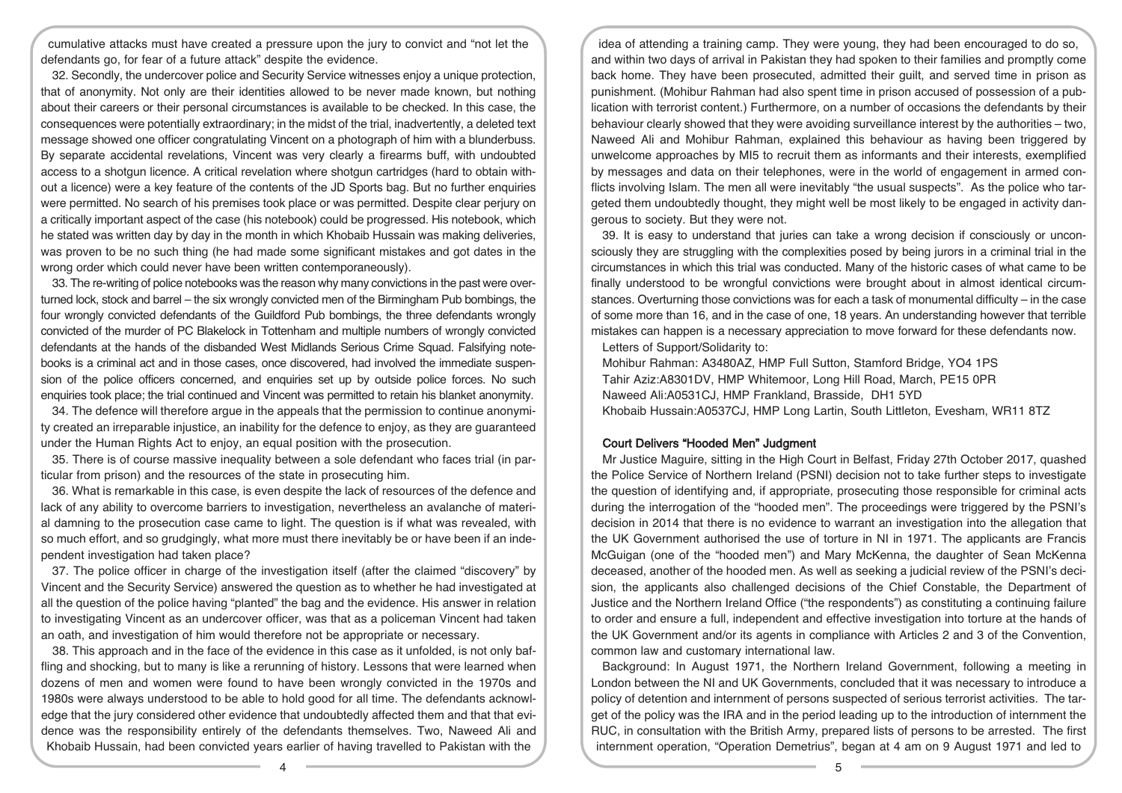cumulative attacks must have created a pressure upon the jury to convict and "not let the defendants go, for fear of a future attack" despite the evidence.

32. Secondly, the undercover police and Security Service witnesses enjoy a unique protection, that of anonymity. Not only are their identities allowed to be never made known, but nothing about their careers or their personal circumstances is available to be checked. In this case, the consequences were potentially extraordinary; in the midst of the trial, inadvertently, a deleted text message showed one officer congratulating Vincent on a photograph of him with a blunderbuss. By separate accidental revelations, Vincent was very clearly a firearms buff, with undoubted access to a shotgun licence. A critical revelation where shotgun cartridges (hard to obtain without a licence) were a key feature of the contents of the JD Sports bag. But no further enquiries were permitted. No search of his premises took place or was permitted. Despite clear perjury on a critically important aspect of the case (his notebook) could be progressed. His notebook, which he stated was written day by day in the month in which Khobaib Hussain was making deliveries, was proven to be no such thing (he had made some significant mistakes and got dates in the wrong order which could never have been written contemporaneously).

33. The re-writing of police notebooks was the reason why many convictions in the past were overturned lock, stock and barrel – the six wrongly convicted men of the Birmingham Pub bombings, the four wrongly convicted defendants of the Guildford Pub bombings, the three defendants wrongly convicted of the murder of PC Blakelock in Tottenham and multiple numbers of wrongly convicted defendants at the hands of the disbanded West Midlands Serious Crime Squad. Falsifying notebooks is a criminal act and in those cases, once discovered, had involved the immediate suspension of the police officers concerned, and enquiries set up by outside police forces. No such enquiries took place; the trial continued and Vincent was permitted to retain his blanket anonymity.

34. The defence will therefore argue in the appeals that the permission to continue anonymity created an irreparable injustice, an inability for the defence to enjoy, as they are guaranteed under the Human Rights Act to enjoy, an equal position with the prosecution.

35. There is of course massive inequality between a sole defendant who faces trial (in particular from prison) and the resources of the state in prosecuting him.

36. What is remarkable in this case, is even despite the lack of resources of the defence and lack of any ability to overcome barriers to investigation, nevertheless an avalanche of material damning to the prosecution case came to light. The question is if what was revealed, with so much effort, and so grudgingly, what more must there inevitably be or have been if an independent investigation had taken place?

37. The police officer in charge of the investigation itself (after the claimed "discovery" by Vincent and the Security Service) answered the question as to whether he had investigated at all the question of the police having "planted" the bag and the evidence. His answer in relation to investigating Vincent as an undercover officer, was that as a policeman Vincent had taken an oath, and investigation of him would therefore not be appropriate or necessary.

38. This approach and in the face of the evidence in this case as it unfolded, is not only baffling and shocking, but to many is like a rerunning of history. Lessons that were learned when dozens of men and women were found to have been wrongly convicted in the 1970s and 1980s were always understood to be able to hold good for all time. The defendants acknowledge that the jury considered other evidence that undoubtedly affected them and that that evidence was the responsibility entirely of the defendants themselves. Two, Naweed Ali and Khobaib Hussain, had been convicted years earlier of having travelled to Pakistan with the

idea of attending a training camp. They were young, they had been encouraged to do so, and within two days of arrival in Pakistan they had spoken to their families and promptly come back home. They have been prosecuted, admitted their guilt, and served time in prison as punishment. (Mohibur Rahman had also spent time in prison accused of possession of a publication with terrorist content.) Furthermore, on a number of occasions the defendants by their behaviour clearly showed that they were avoiding surveillance interest by the authorities – two, Naweed Ali and Mohibur Rahman, explained this behaviour as having been triggered by unwelcome approaches by MI5 to recruit them as informants and their interests, exemplified by messages and data on their telephones, were in the world of engagement in armed conflicts involving Islam. The men all were inevitably "the usual suspects". As the police who targeted them undoubtedly thought, they might well be most likely to be engaged in activity dangerous to society. But they were not.

39. It is easy to understand that juries can take a wrong decision if consciously or unconsciously they are struggling with the complexities posed by being jurors in a criminal trial in the circumstances in which this trial was conducted. Many of the historic cases of what came to be finally understood to be wrongful convictions were brought about in almost identical circumstances. Overturning those convictions was for each a task of monumental difficulty – in the case of some more than 16, and in the case of one, 18 years. An understanding however that terrible mistakes can happen is a necessary appreciation to move forward for these defendants now. Letters of Support/Solidarity to:

Mohibur Rahman: A3480AZ, HMP Full Sutton, Stamford Bridge, YO4 1PS Tahir Aziz:A8301DV, HMP Whitemoor, Long Hill Road, March, PE15 0PR Naweed Ali:A0531CJ, HMP Frankland, Brasside, DH1 5YD Khobaib Hussain:A0537CJ, HMP Long Lartin, South Littleton, Evesham, WR11 8TZ

## Court Delivers "Hooded Men" Judgment

Mr Justice Maguire, sitting in the High Court in Belfast, Friday 27th October 2017, quashed the Police Service of Northern Ireland (PSNI) decision not to take further steps to investigate the question of identifying and, if appropriate, prosecuting those responsible for criminal acts during the interrogation of the "hooded men". The proceedings were triggered by the PSNI's decision in 2014 that there is no evidence to warrant an investigation into the allegation that the UK Government authorised the use of torture in NI in 1971. The applicants are Francis McGuigan (one of the "hooded men") and Mary McKenna, the daughter of Sean McKenna deceased, another of the hooded men. As well as seeking a judicial review of the PSNI's decision, the applicants also challenged decisions of the Chief Constable, the Department of Justice and the Northern Ireland Office ("the respondents") as constituting a continuing failure to order and ensure a full, independent and effective investigation into torture at the hands of the UK Government and/or its agents in compliance with Articles 2 and 3 of the Convention, common law and customary international law.

Background: In August 1971, the Northern Ireland Government, following a meeting in London between the NI and UK Governments, concluded that it was necessary to introduce a policy of detention and internment of persons suspected of serious terrorist activities. The target of the policy was the IRA and in the period leading up to the introduction of internment the RUC, in consultation with the British Army, prepared lists of persons to be arrested. The first internment operation, "Operation Demetrius", began at 4 am on 9 August 1971 and led to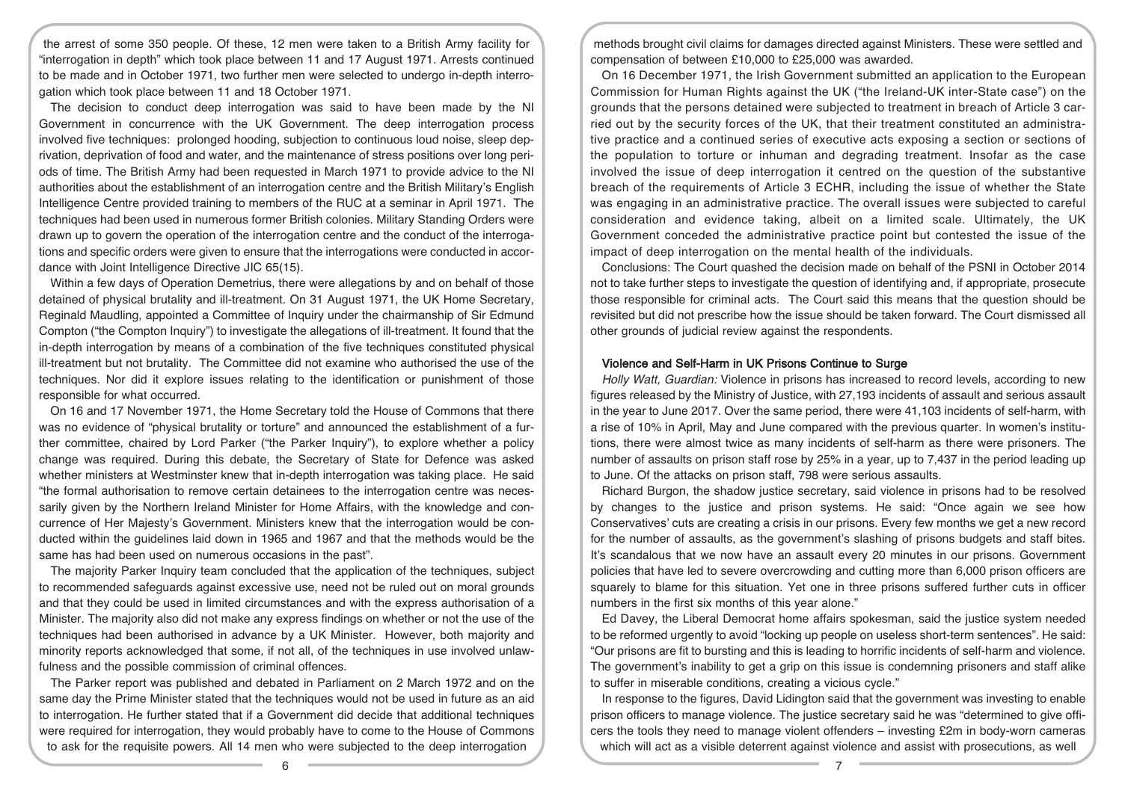the arrest of some 350 people. Of these, 12 men were taken to a British Army facility for "interrogation in depth" which took place between 11 and 17 August 1971. Arrests continued to be made and in October 1971, two further men were selected to undergo in-depth interrogation which took place between 11 and 18 October 1971.

The decision to conduct deep interrogation was said to have been made by the NI Government in concurrence with the UK Government. The deep interrogation process involved five techniques: prolonged hooding, subjection to continuous loud noise, sleep deprivation, deprivation of food and water, and the maintenance of stress positions over long periods of time. The British Army had been requested in March 1971 to provide advice to the NI authorities about the establishment of an interrogation centre and the British Military's English Intelligence Centre provided training to members of the RUC at a seminar in April 1971. The techniques had been used in numerous former British colonies. Military Standing Orders were drawn up to govern the operation of the interrogation centre and the conduct of the interrogations and specific orders were given to ensure that the interrogations were conducted in accordance with Joint Intelligence Directive JIC 65(15).

Within a few days of Operation Demetrius, there were allegations by and on behalf of those detained of physical brutality and ill-treatment. On 31 August 1971, the UK Home Secretary, Reginald Maudling, appointed a Committee of Inquiry under the chairmanship of Sir Edmund Compton ("the Compton Inquiry") to investigate the allegations of ill-treatment. It found that the in-depth interrogation by means of a combination of the five techniques constituted physical ill-treatment but not brutality. The Committee did not examine who authorised the use of the techniques. Nor did it explore issues relating to the identification or punishment of those responsible for what occurred.

On 16 and 17 November 1971, the Home Secretary told the House of Commons that there was no evidence of "physical brutality or torture" and announced the establishment of a further committee, chaired by Lord Parker ("the Parker Inquiry"), to explore whether a policy change was required. During this debate, the Secretary of State for Defence was asked whether ministers at Westminster knew that in-depth interrogation was taking place. He said "the formal authorisation to remove certain detainees to the interrogation centre was necessarily given by the Northern Ireland Minister for Home Affairs, with the knowledge and concurrence of Her Majesty's Government. Ministers knew that the interrogation would be conducted within the guidelines laid down in 1965 and 1967 and that the methods would be the same has had been used on numerous occasions in the past".

The majority Parker Inquiry team concluded that the application of the techniques, subject to recommended safeguards against excessive use, need not be ruled out on moral grounds and that they could be used in limited circumstances and with the express authorisation of a Minister. The majority also did not make any express findings on whether or not the use of the techniques had been authorised in advance by a UK Minister. However, both majority and minority reports acknowledged that some, if not all, of the techniques in use involved unlawfulness and the possible commission of criminal offences.

The Parker report was published and debated in Parliament on 2 March 1972 and on the same day the Prime Minister stated that the techniques would not be used in future as an aid to interrogation. He further stated that if a Government did decide that additional techniques were required for interrogation, they would probably have to come to the House of Commons to ask for the requisite powers. All 14 men who were subjected to the deep interrogation

methods brought civil claims for damages directed against Ministers. These were settled and compensation of between £10,000 to £25,000 was awarded.

On 16 December 1971, the Irish Government submitted an application to the European Commission for Human Rights against the UK ("the Ireland-UK inter-State case") on the grounds that the persons detained were subjected to treatment in breach of Article 3 carried out by the security forces of the UK, that their treatment constituted an administrative practice and a continued series of executive acts exposing a section or sections of the population to torture or inhuman and degrading treatment. Insofar as the case involved the issue of deep interrogation it centred on the question of the substantive breach of the requirements of Article 3 ECHR, including the issue of whether the State was engaging in an administrative practice. The overall issues were subjected to careful consideration and evidence taking, albeit on a limited scale. Ultimately, the UK Government conceded the administrative practice point but contested the issue of the impact of deep interrogation on the mental health of the individuals.

Conclusions: The Court quashed the decision made on behalf of the PSNI in October 2014 not to take further steps to investigate the question of identifying and, if appropriate, prosecute those responsible for criminal acts. The Court said this means that the question should be revisited but did not prescribe how the issue should be taken forward. The Court dismissed all other grounds of judicial review against the respondents.

### Violence and Self-Harm in UK Prisons Continue to Surge

Holly Watt, Guardian: Violence in prisons has increased to record levels, according to new figures released by the Ministry of Justice, with 27,193 incidents of assault and serious assault in the year to June 2017. Over the same period, there were 41,103 incidents of self-harm, with a rise of 10% in April, May and June compared with the previous quarter. In women's institutions, there were almost twice as many incidents of self-harm as there were prisoners. The number of assaults on prison staff rose by 25% in a year, up to 7,437 in the period leading up to June. Of the attacks on prison staff, 798 were serious assaults.

Richard Burgon, the shadow justice secretary, said violence in prisons had to be resolved by changes to the justice and prison systems. He said: "Once again we see how Conservatives' cuts are creating a crisis in our prisons. Every few months we get a new record for the number of assaults, as the government's slashing of prisons budgets and staff bites. It's scandalous that we now have an assault every 20 minutes in our prisons. Government policies that have led to severe overcrowding and cutting more than 6,000 prison officers are squarely to blame for this situation. Yet one in three prisons suffered further cuts in officer numbers in the first six months of this year alone."

Ed Davey, the Liberal Democrat home affairs spokesman, said the justice system needed to be reformed urgently to avoid "locking up people on useless short-term sentences". He said: "Our prisons are fit to bursting and this is leading to horrific incidents of self-harm and violence. The government's inability to get a grip on this issue is condemning prisoners and staff alike to suffer in miserable conditions, creating a vicious cycle."

In response to the figures, David Lidington said that the government was investing to enable prison officers to manage violence. The justice secretary said he was "determined to give officers the tools they need to manage violent offenders – investing £2m in body-worn cameras which will act as a visible deterrent against violence and assist with prosecutions, as well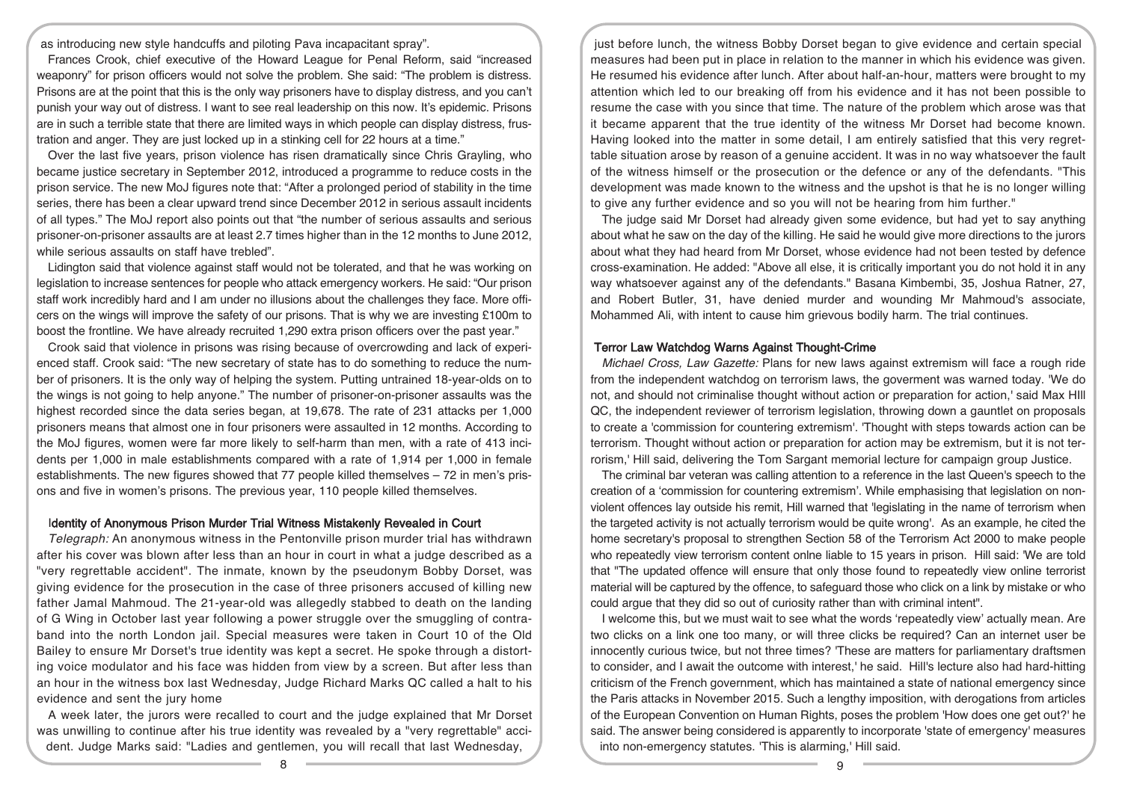as introducing new style handcuffs and piloting Pava incapacitant spray".

Frances Crook, chief executive of the Howard League for Penal Reform, said "increased weaponry" for prison officers would not solve the problem. She said: "The problem is distress. Prisons are at the point that this is the only way prisoners have to display distress, and you can't punish your way out of distress. I want to see real leadership on this now. It's epidemic. Prisons are in such a terrible state that there are limited ways in which people can display distress, frustration and anger. They are just locked up in a stinking cell for 22 hours at a time."

Over the last five years, prison violence has risen dramatically since Chris Grayling, who became justice secretary in September 2012, introduced a programme to reduce costs in the prison service. The new MoJ figures note that: "After a prolonged period of stability in the time series, there has been a clear upward trend since December 2012 in serious assault incidents of all types." The MoJ report also points out that "the number of serious assaults and serious prisoner-on-prisoner assaults are at least 2.7 times higher than in the 12 months to June 2012, while serious assaults on staff have trebled".

Lidington said that violence against staff would not be tolerated, and that he was working on legislation to increase sentences for people who attack emergency workers. He said: "Our prison staff work incredibly hard and I am under no illusions about the challenges they face. More officers on the wings will improve the safety of our prisons. That is why we are investing £100m to boost the frontline. We have already recruited 1,290 extra prison officers over the past year."

Crook said that violence in prisons was rising because of overcrowding and lack of experienced staff. Crook said: "The new secretary of state has to do something to reduce the number of prisoners. It is the only way of helping the system. Putting untrained 18-year-olds on to the wings is not going to help anyone." The number of prisoner-on-prisoner assaults was the highest recorded since the data series began, at 19,678. The rate of 231 attacks per 1,000 prisoners means that almost one in four prisoners were assaulted in 12 months. According to the MoJ figures, women were far more likely to self-harm than men, with a rate of 413 incidents per 1,000 in male establishments compared with a rate of 1,914 per 1,000 in female establishments. The new figures showed that  $77$  people killed themselves  $-72$  in men's prisons and five in women's prisons. The previous year, 110 people killed themselves.

#### Identity of Anonymous Prison Murder Trial Witness Mistakenly Revealed in Court

Telegraph: An anonymous witness in the Pentonville prison murder trial has withdrawn after his cover was blown after less than an hour in court in what a judge described as a "very regrettable accident". The inmate, known by the pseudonym Bobby Dorset, was giving evidence for the prosecution in the case of three prisoners accused of killing new father Jamal Mahmoud. The 21-year-old was allegedly stabbed to death on the landing of G Wing in October last year following a power struggle over the smuggling of contraband into the north London jail. Special measures were taken in Court 10 of the Old Bailey to ensure Mr Dorset's true identity was kept a secret. He spoke through a distorting voice modulator and his face was hidden from view by a screen. But after less than an hour in the witness box last Wednesday, Judge Richard Marks QC called a halt to his evidence and sent the jury home

A week later, the jurors were recalled to court and the judge explained that Mr Dorset was unwilling to continue after his true identity was revealed by a "very regrettable" accident. Judge Marks said: "Ladies and gentlemen, you will recall that last Wednesday,

just before lunch, the witness Bobby Dorset began to give evidence and certain special measures had been put in place in relation to the manner in which his evidence was given. He resumed his evidence after lunch. After about half-an-hour, matters were brought to my attention which led to our breaking off from his evidence and it has not been possible to resume the case with you since that time. The nature of the problem which arose was that it became apparent that the true identity of the witness Mr Dorset had become known. Having looked into the matter in some detail, I am entirely satisfied that this very regrettable situation arose by reason of a genuine accident. It was in no way whatsoever the fault of the witness himself or the prosecution or the defence or any of the defendants. "This development was made known to the witness and the upshot is that he is no longer willing to give any further evidence and so you will not be hearing from him further."

The judge said Mr Dorset had already given some evidence, but had yet to say anything about what he saw on the day of the killing. He said he would give more directions to the jurors about what they had heard from Mr Dorset, whose evidence had not been tested by defence cross-examination. He added: "Above all else, it is critically important you do not hold it in any way whatsoever against any of the defendants." Basana Kimbembi, 35, Joshua Ratner, 27, and Robert Butler, 31, have denied murder and wounding Mr Mahmoud's associate, Mohammed Ali, with intent to cause him grievous bodily harm. The trial continues.

#### Terror Law Watchdog Warns Against Thought-Crime

Michael Cross, Law Gazette: Plans for new laws against extremism will face a rough ride from the independent watchdog on terrorism laws, the goverment was warned today. 'We do not, and should not criminalise thought without action or preparation for action,' said Max HIll QC, the independent reviewer of terrorism legislation, throwing down a gauntlet on proposals to create a 'commission for countering extremism'. 'Thought with steps towards action can be terrorism. Thought without action or preparation for action may be extremism, but it is not terrorism,' Hill said, delivering the Tom Sargant memorial lecture for campaign group Justice.

The criminal bar veteran was calling attention to a reference in the last Queen's speech to the creation of a 'commission for countering extremism'. While emphasising that legislation on nonviolent offences lay outside his remit, Hill warned that 'legislating in the name of terrorism when the targeted activity is not actually terrorism would be quite wrong'. As an example, he cited the home secretary's proposal to strengthen Section 58 of the Terrorism Act 2000 to make people who repeatedly view terrorism content onlne liable to 15 years in prison. Hill said: 'We are told that "The updated offence will ensure that only those found to repeatedly view online terrorist material will be captured by the offence, to safeguard those who click on a link by mistake or who could argue that they did so out of curiosity rather than with criminal intent".

I welcome this, but we must wait to see what the words 'repeatedly view' actually mean. Are two clicks on a link one too many, or will three clicks be required? Can an internet user be innocently curious twice, but not three times? 'These are matters for parliamentary draftsmen to consider, and I await the outcome with interest,' he said. Hill's lecture also had hard-hitting criticism of the French government, which has maintained a state of national emergency since the Paris attacks in November 2015. Such a lengthy imposition, with derogations from articles of the European Convention on Human Rights, poses the problem 'How does one get out?' he said. The answer being considered is apparently to incorporate 'state of emergency' measures into non-emergency statutes. 'This is alarming,' Hill said.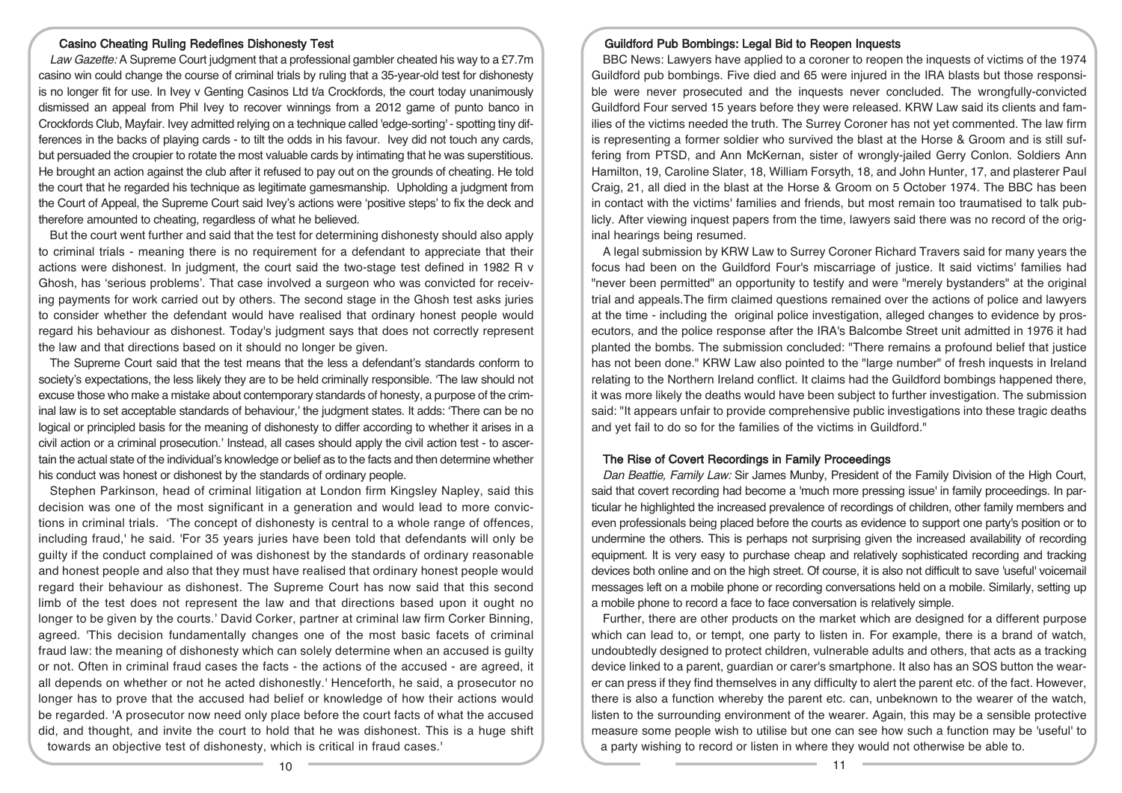## Casino Cheating Ruling Redefines Dishonesty Test

Law Gazette: A Supreme Court judgment that a professional gambler cheated his way to a £7.7m casino win could change the course of criminal trials by ruling that a 35-year-old test for dishonesty is no longer fit for use. In Ivey v Genting Casinos Ltd t/a Crockfords, the court today unanimously dismissed an appeal from Phil Ivey to recover winnings from a 2012 game of punto banco in Crockfords Club, Mayfair. Ivey admitted relying on a technique called 'edge-sorting' - spotting tiny differences in the backs of playing cards - to tilt the odds in his favour. Ivey did not touch any cards, but persuaded the croupier to rotate the most valuable cards by intimating that he was superstitious. He brought an action against the club after it refused to pay out on the grounds of cheating. He told the court that he regarded his technique as legitimate gamesmanship. Upholding a judgment from the Court of Appeal, the Supreme Court said Ivey's actions were 'positive steps' to fix the deck and therefore amounted to cheating, regardless of what he believed.

But the court went further and said that the test for determining dishonesty should also apply to criminal trials - meaning there is no requirement for a defendant to appreciate that their actions were dishonest. In judgment, the court said the two-stage test defined in 1982 R v Ghosh, has 'serious problems'. That case involved a surgeon who was convicted for receiving payments for work carried out by others. The second stage in the Ghosh test asks juries to consider whether the defendant would have realised that ordinary honest people would regard his behaviour as dishonest. Today's judgment says that does not correctly represent the law and that directions based on it should no longer be given.

The Supreme Court said that the test means that the less a defendant's standards conform to society's expectations, the less likely they are to be held criminally responsible. 'The law should not excuse those who make a mistake about contemporary standards of honesty, a purpose of the criminal law is to set acceptable standards of behaviour,' the judgment states. It adds: 'There can be no logical or principled basis for the meaning of dishonesty to differ according to whether it arises in a civil action or a criminal prosecution.' Instead, all cases should apply the civil action test - to ascertain the actual state of the individual's knowledge or belief as to the facts and then determine whether his conduct was honest or dishonest by the standards of ordinary people.

Stephen Parkinson, head of criminal litigation at London firm Kingsley Napley, said this decision was one of the most significant in a generation and would lead to more convictions in criminal trials. 'The concept of dishonesty is central to a whole range of offences, including fraud,' he said. 'For 35 years juries have been told that defendants will only be guilty if the conduct complained of was dishonest by the standards of ordinary reasonable and honest people and also that they must have realised that ordinary honest people would regard their behaviour as dishonest. The Supreme Court has now said that this second limb of the test does not represent the law and that directions based upon it ought no longer to be given by the courts.' David Corker, partner at criminal law firm Corker Binning, agreed. 'This decision fundamentally changes one of the most basic facets of criminal fraud law: the meaning of dishonesty which can solely determine when an accused is guilty or not. Often in criminal fraud cases the facts - the actions of the accused - are agreed, it all depends on whether or not he acted dishonestly.' Henceforth, he said, a prosecutor no longer has to prove that the accused had belief or knowledge of how their actions would be regarded. 'A prosecutor now need only place before the court facts of what the accused did, and thought, and invite the court to hold that he was dishonest. This is a huge shift towards an objective test of dishonesty, which is critical in fraud cases.'

#### Guildford Pub Bombings: Legal Bid to Reopen Inquests

BBC News: Lawyers have applied to a coroner to reopen the inquests of victims of the 1974 Guildford pub bombings. Five died and 65 were injured in the IRA blasts but those responsible were never prosecuted and the inquests never concluded. The wrongfully-convicted Guildford Four served 15 years before they were released. KRW Law said its clients and families of the victims needed the truth. The Surrey Coroner has not yet commented. The law firm is representing a former soldier who survived the blast at the Horse & Groom and is still suffering from PTSD, and Ann McKernan, sister of wrongly-jailed Gerry Conlon. Soldiers Ann Hamilton, 19, Caroline Slater, 18, William Forsyth, 18, and John Hunter, 17, and plasterer Paul Craig, 21, all died in the blast at the Horse & Groom on 5 October 1974. The BBC has been in contact with the victims' families and friends, but most remain too traumatised to talk publicly. After viewing inquest papers from the time, lawyers said there was no record of the original hearings being resumed.

A legal submission by KRW Law to Surrey Coroner Richard Travers said for many years the focus had been on the Guildford Four's miscarriage of justice. It said victims' families had "never been permitted" an opportunity to testify and were "merely bystanders" at the original trial and appeals.The firm claimed questions remained over the actions of police and lawyers at the time - including the original police investigation, alleged changes to evidence by prosecutors, and the police response after the IRA's Balcombe Street unit admitted in 1976 it had planted the bombs. The submission concluded: "There remains a profound belief that justice has not been done." KRW Law also pointed to the "large number" of fresh inquests in Ireland relating to the Northern Ireland conflict. It claims had the Guildford bombings happened there, it was more likely the deaths would have been subject to further investigation. The submission said: "It appears unfair to provide comprehensive public investigations into these tragic deaths and yet fail to do so for the families of the victims in Guildford."

## The Rise of Covert Recordings in Family Proceedings

Dan Beattie, Family Law: Sir James Munby, President of the Family Division of the High Court, said that covert recording had become a 'much more pressing issue' in family proceedings. In particular he highlighted the increased prevalence of recordings of children, other family members and even professionals being placed before the courts as evidence to support one party's position or to undermine the others. This is perhaps not surprising given the increased availability of recording equipment. It is very easy to purchase cheap and relatively sophisticated recording and tracking devices both online and on the high street. Of course, it is also not difficult to save 'useful' voicemail messages left on a mobile phone or recording conversations held on a mobile. Similarly, setting up a mobile phone to record a face to face conversation is relatively simple.

Further, there are other products on the market which are designed for a different purpose which can lead to, or tempt, one party to listen in. For example, there is a brand of watch, undoubtedly designed to protect children, vulnerable adults and others, that acts as a tracking device linked to a parent, guardian or carer's smartphone. It also has an SOS button the wearer can press if they find themselves in any difficulty to alert the parent etc. of the fact. However, there is also a function whereby the parent etc. can, unbeknown to the wearer of the watch, listen to the surrounding environment of the wearer. Again, this may be a sensible protective measure some people wish to utilise but one can see how such a function may be 'useful' to a party wishing to record or listen in where they would not otherwise be able to.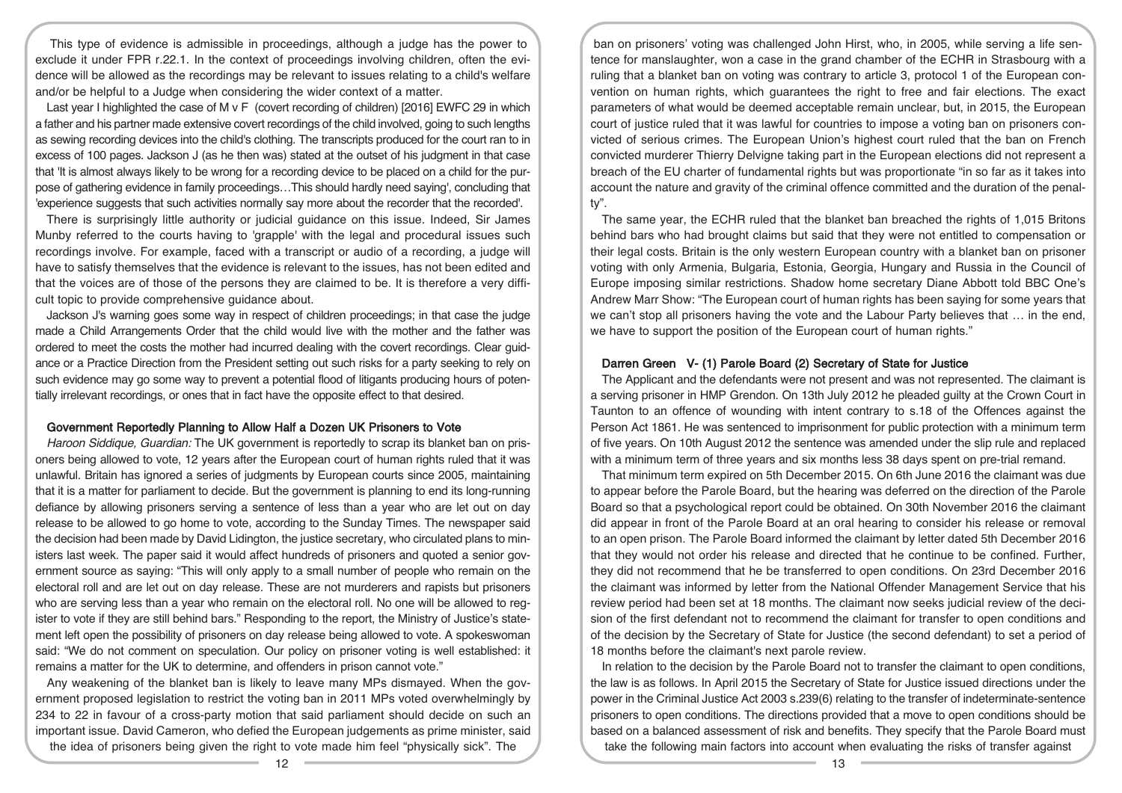This type of evidence is admissible in proceedings, although a judge has the power to exclude it under FPR r.22.1. In the context of proceedings involving children, often the evidence will be allowed as the recordings may be relevant to issues relating to a child's welfare and/or be helpful to a Judge when considering the wider context of a matter.

Last year I highlighted the case of M v F (covert recording of children) [2016] EWFC 29 in which a father and his partner made extensive covert recordings of the child involved, going to such lengths as sewing recording devices into the child's clothing. The transcripts produced for the court ran to in excess of 100 pages. Jackson J (as he then was) stated at the outset of his judgment in that case that 'It is almost always likely to be wrong for a recording device to be placed on a child for the purpose of gathering evidence in family proceedings…This should hardly need saying', concluding that 'experience suggests that such activities normally say more about the recorder that the recorded'.

There is surprisingly little authority or judicial guidance on this issue. Indeed, Sir James Munby referred to the courts having to 'grapple' with the legal and procedural issues such recordings involve. For example, faced with a transcript or audio of a recording, a judge will have to satisfy themselves that the evidence is relevant to the issues, has not been edited and that the voices are of those of the persons they are claimed to be. It is therefore a very difficult topic to provide comprehensive guidance about.

Jackson J's warning goes some way in respect of children proceedings; in that case the judge made a Child Arrangements Order that the child would live with the mother and the father was ordered to meet the costs the mother had incurred dealing with the covert recordings. Clear guidance or a Practice Direction from the President setting out such risks for a party seeking to rely on such evidence may go some way to prevent a potential flood of litigants producing hours of potentially irrelevant recordings, or ones that in fact have the opposite effect to that desired.

#### Government Reportedly Planning to Allow Half a Dozen UK Prisoners to Vote

Haroon Siddique, Guardian: The UK government is reportedly to scrap its blanket ban on prisoners being allowed to vote, 12 years after the European court of human rights ruled that it was unlawful. Britain has ignored a series of judgments by European courts since 2005, maintaining that it is a matter for parliament to decide. But the government is planning to end its long-running defiance by allowing prisoners serving a sentence of less than a year who are let out on day release to be allowed to go home to vote, according to the Sunday Times. The newspaper said the decision had been made by David Lidington, the justice secretary, who circulated plans to ministers last week. The paper said it would affect hundreds of prisoners and quoted a senior government source as saying: "This will only apply to a small number of people who remain on the electoral roll and are let out on day release. These are not murderers and rapists but prisoners who are serving less than a year who remain on the electoral roll. No one will be allowed to register to vote if they are still behind bars." Responding to the report, the Ministry of Justice's statement left open the possibility of prisoners on day release being allowed to vote. A spokeswoman said: "We do not comment on speculation. Our policy on prisoner voting is well established: it remains a matter for the UK to determine, and offenders in prison cannot vote."

Any weakening of the blanket ban is likely to leave many MPs dismayed. When the government proposed legislation to restrict the voting ban in 2011 MPs voted overwhelmingly by 234 to 22 in favour of a cross-party motion that said parliament should decide on such an important issue. David Cameron, who defied the European judgements as prime minister, said the idea of prisoners being given the right to vote made him feel "physically sick". The

ban on prisoners' voting was challenged John Hirst, who, in 2005, while serving a life sentence for manslaughter, won a case in the grand chamber of the ECHR in Strasbourg with a ruling that a blanket ban on voting was contrary to article 3, protocol 1 of the European convention on human rights, which guarantees the right to free and fair elections. The exact parameters of what would be deemed acceptable remain unclear, but, in 2015, the European court of justice ruled that it was lawful for countries to impose a voting ban on prisoners convicted of serious crimes. The European Union's highest court ruled that the ban on French convicted murderer Thierry Delvigne taking part in the European elections did not represent a breach of the EU charter of fundamental rights but was proportionate "in so far as it takes into account the nature and gravity of the criminal offence committed and the duration of the penalty".

The same year, the ECHR ruled that the blanket ban breached the rights of 1,015 Britons behind bars who had brought claims but said that they were not entitled to compensation or their legal costs. Britain is the only western European country with a blanket ban on prisoner voting with only Armenia, Bulgaria, Estonia, Georgia, Hungary and Russia in the Council of Europe imposing similar restrictions. Shadow home secretary Diane Abbott told BBC One's Andrew Marr Show: "The European court of human rights has been saying for some years that we can't stop all prisoners having the vote and the Labour Party believes that … in the end, we have to support the position of the European court of human rights."

## Darren Green V- (1) Parole Board (2) Secretary of State for Justice

The Applicant and the defendants were not present and was not represented. The claimant is a serving prisoner in HMP Grendon. On 13th July 2012 he pleaded guilty at the Crown Court in Taunton to an offence of wounding with intent contrary to s.18 of the Offences against the Person Act 1861. He was sentenced to imprisonment for public protection with a minimum term of five years. On 10th August 2012 the sentence was amended under the slip rule and replaced with a minimum term of three years and six months less 38 days spent on pre-trial remand.

That minimum term expired on 5th December 2015. On 6th June 2016 the claimant was due to appear before the Parole Board, but the hearing was deferred on the direction of the Parole Board so that a psychological report could be obtained. On 30th November 2016 the claimant did appear in front of the Parole Board at an oral hearing to consider his release or removal to an open prison. The Parole Board informed the claimant by letter dated 5th December 2016 that they would not order his release and directed that he continue to be confined. Further, they did not recommend that he be transferred to open conditions. On 23rd December 2016 the claimant was informed by letter from the National Offender Management Service that his review period had been set at 18 months. The claimant now seeks judicial review of the decision of the first defendant not to recommend the claimant for transfer to open conditions and of the decision by the Secretary of State for Justice (the second defendant) to set a period of 18 months before the claimant's next parole review.

In relation to the decision by the Parole Board not to transfer the claimant to open conditions, the law is as follows. In April 2015 the Secretary of State for Justice issued directions under the power in the Criminal Justice Act 2003 s.239(6) relating to the transfer of indeterminate-sentence prisoners to open conditions. The directions provided that a move to open conditions should be based on a balanced assessment of risk and benefits. They specify that the Parole Board must take the following main factors into account when evaluating the risks of transfer against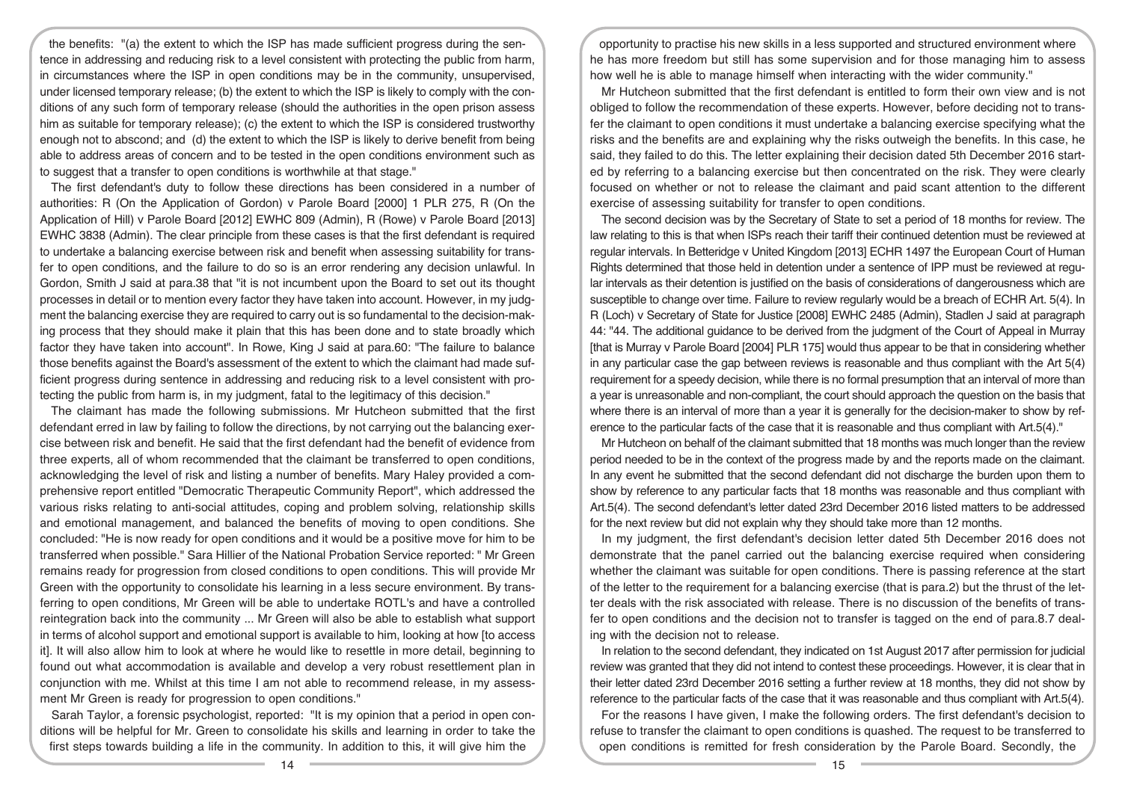the benefits: "(a) the extent to which the ISP has made sufficient progress during the sentence in addressing and reducing risk to a level consistent with protecting the public from harm, in circumstances where the ISP in open conditions may be in the community, unsupervised, under licensed temporary release; (b) the extent to which the ISP is likely to comply with the conditions of any such form of temporary release (should the authorities in the open prison assess him as suitable for temporary release); (c) the extent to which the ISP is considered trustworthy enough not to abscond; and (d) the extent to which the ISP is likely to derive benefit from being able to address areas of concern and to be tested in the open conditions environment such as to suggest that a transfer to open conditions is worthwhile at that stage."

The first defendant's duty to follow these directions has been considered in a number of authorities: R (On the Application of Gordon) v Parole Board [2000] 1 PLR 275, R (On the Application of Hill) v Parole Board [2012] EWHC 809 (Admin), R (Rowe) v Parole Board [2013] EWHC 3838 (Admin). The clear principle from these cases is that the first defendant is required to undertake a balancing exercise between risk and benefit when assessing suitability for transfer to open conditions, and the failure to do so is an error rendering any decision unlawful. In Gordon, Smith J said at para.38 that "it is not incumbent upon the Board to set out its thought processes in detail or to mention every factor they have taken into account. However, in my judgment the balancing exercise they are required to carry out is so fundamental to the decision-making process that they should make it plain that this has been done and to state broadly which factor they have taken into account". In Rowe, King J said at para.60: "The failure to balance those benefits against the Board's assessment of the extent to which the claimant had made sufficient progress during sentence in addressing and reducing risk to a level consistent with protecting the public from harm is, in my judgment, fatal to the legitimacy of this decision."

The claimant has made the following submissions. Mr Hutcheon submitted that the first defendant erred in law by failing to follow the directions, by not carrying out the balancing exercise between risk and benefit. He said that the first defendant had the benefit of evidence from three experts, all of whom recommended that the claimant be transferred to open conditions, acknowledging the level of risk and listing a number of benefits. Mary Haley provided a comprehensive report entitled "Democratic Therapeutic Community Report", which addressed the various risks relating to anti-social attitudes, coping and problem solving, relationship skills and emotional management, and balanced the benefits of moving to open conditions. She concluded: "He is now ready for open conditions and it would be a positive move for him to be transferred when possible." Sara Hillier of the National Probation Service reported: " Mr Green remains ready for progression from closed conditions to open conditions. This will provide Mr Green with the opportunity to consolidate his learning in a less secure environment. By transferring to open conditions, Mr Green will be able to undertake ROTL's and have a controlled reintegration back into the community ... Mr Green will also be able to establish what support in terms of alcohol support and emotional support is available to him, looking at how [to access it]. It will also allow him to look at where he would like to resettle in more detail, beginning to found out what accommodation is available and develop a very robust resettlement plan in conjunction with me. Whilst at this time I am not able to recommend release, in my assessment Mr Green is ready for progression to open conditions."

Sarah Taylor, a forensic psychologist, reported: "It is my opinion that a period in open conditions will be helpful for Mr. Green to consolidate his skills and learning in order to take the first steps towards building a life in the community. In addition to this, it will give him the

opportunity to practise his new skills in a less supported and structured environment where he has more freedom but still has some supervision and for those managing him to assess how well he is able to manage himself when interacting with the wider community."

Mr Hutcheon submitted that the first defendant is entitled to form their own view and is not obliged to follow the recommendation of these experts. However, before deciding not to transfer the claimant to open conditions it must undertake a balancing exercise specifying what the risks and the benefits are and explaining why the risks outweigh the benefits. In this case, he said, they failed to do this. The letter explaining their decision dated 5th December 2016 started by referring to a balancing exercise but then concentrated on the risk. They were clearly focused on whether or not to release the claimant and paid scant attention to the different exercise of assessing suitability for transfer to open conditions.

The second decision was by the Secretary of State to set a period of 18 months for review. The law relating to this is that when ISPs reach their tariff their continued detention must be reviewed at regular intervals. In Betteridge v United Kingdom [2013] ECHR 1497 the European Court of Human Rights determined that those held in detention under a sentence of IPP must be reviewed at regular intervals as their detention is justified on the basis of considerations of dangerousness which are susceptible to change over time. Failure to review regularly would be a breach of ECHR Art. 5(4). In R (Loch) v Secretary of State for Justice [2008] EWHC 2485 (Admin), Stadlen J said at paragraph 44: "44. The additional guidance to be derived from the judgment of the Court of Appeal in Murray [that is Murray v Parole Board [2004] PLR 175] would thus appear to be that in considering whether in any particular case the gap between reviews is reasonable and thus compliant with the Art 5(4) requirement for a speedy decision, while there is no formal presumption that an interval of more than a year is unreasonable and non-compliant, the court should approach the question on the basis that where there is an interval of more than a year it is generally for the decision-maker to show by reference to the particular facts of the case that it is reasonable and thus compliant with Art.5(4)."

Mr Hutcheon on behalf of the claimant submitted that 18 months was much longer than the review period needed to be in the context of the progress made by and the reports made on the claimant. In any event he submitted that the second defendant did not discharge the burden upon them to show by reference to any particular facts that 18 months was reasonable and thus compliant with Art.5(4). The second defendant's letter dated 23rd December 2016 listed matters to be addressed for the next review but did not explain why they should take more than 12 months.

In my judgment, the first defendant's decision letter dated 5th December 2016 does not demonstrate that the panel carried out the balancing exercise required when considering whether the claimant was suitable for open conditions. There is passing reference at the start of the letter to the requirement for a balancing exercise (that is para.2) but the thrust of the letter deals with the risk associated with release. There is no discussion of the benefits of transfer to open conditions and the decision not to transfer is tagged on the end of para.8.7 dealing with the decision not to release.

In relation to the second defendant, they indicated on 1st August 2017 after permission for judicial review was granted that they did not intend to contest these proceedings. However, it is clear that in their letter dated 23rd December 2016 setting a further review at 18 months, they did not show by reference to the particular facts of the case that it was reasonable and thus compliant with Art.5(4).

For the reasons I have given, I make the following orders. The first defendant's decision to refuse to transfer the claimant to open conditions is quashed. The request to be transferred to open conditions is remitted for fresh consideration by the Parole Board. Secondly, the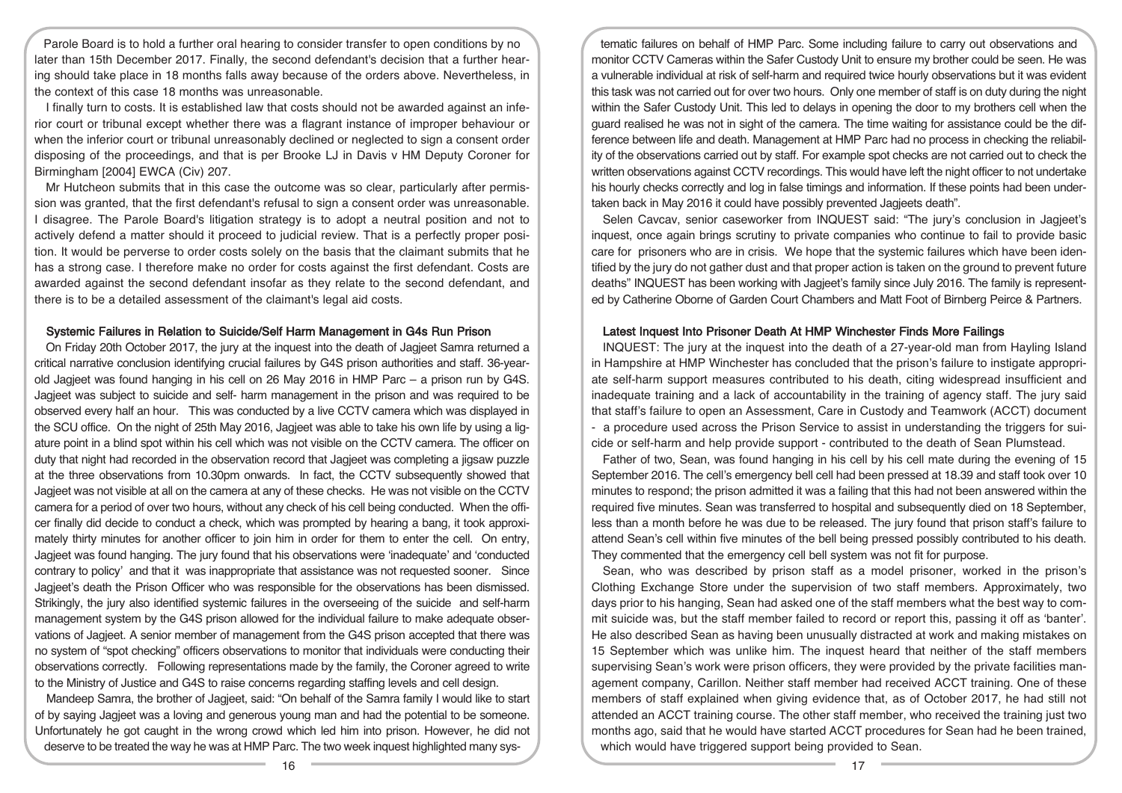Parole Board is to hold a further oral hearing to consider transfer to open conditions by no later than 15th December 2017. Finally, the second defendant's decision that a further hearing should take place in 18 months falls away because of the orders above. Nevertheless, in the context of this case 18 months was unreasonable.

I finally turn to costs. It is established law that costs should not be awarded against an inferior court or tribunal except whether there was a flagrant instance of improper behaviour or when the inferior court or tribunal unreasonably declined or neglected to sign a consent order disposing of the proceedings, and that is per Brooke LJ in Davis v HM Deputy Coroner for Birmingham [2004] EWCA (Civ) 207.

Mr Hutcheon submits that in this case the outcome was so clear, particularly after permission was granted, that the first defendant's refusal to sign a consent order was unreasonable. I disagree. The Parole Board's litigation strategy is to adopt a neutral position and not to actively defend a matter should it proceed to judicial review. That is a perfectly proper position. It would be perverse to order costs solely on the basis that the claimant submits that he has a strong case. I therefore make no order for costs against the first defendant. Costs are awarded against the second defendant insofar as they relate to the second defendant, and there is to be a detailed assessment of the claimant's legal aid costs.

## Systemic Failures in Relation to Suicide/Self Harm Management in G4s Run Prison

On Friday 20th October 2017, the jury at the inquest into the death of Jagjeet Samra returned a critical narrative conclusion identifying crucial failures by G4S prison authorities and staff. 36-yearold Jagjeet was found hanging in his cell on 26 May 2016 in HMP Parc – a prison run by G4S. Jagjeet was subject to suicide and self- harm management in the prison and was required to be observed every half an hour. This was conducted by a live CCTV camera which was displayed in the SCU office. On the night of 25th May 2016, Jagjeet was able to take his own life by using a ligature point in a blind spot within his cell which was not visible on the CCTV camera. The officer on duty that night had recorded in the observation record that Jagjeet was completing a jigsaw puzzle at the three observations from 10.30pm onwards. In fact, the CCTV subsequently showed that Jagjeet was not visible at all on the camera at any of these checks. He was not visible on the CCTV camera for a period of over two hours, without any check of his cell being conducted. When the officer finally did decide to conduct a check, which was prompted by hearing a bang, it took approximately thirty minutes for another officer to join him in order for them to enter the cell. On entry, Jagjeet was found hanging. The jury found that his observations were 'inadequate' and 'conducted contrary to policy' and that it was inappropriate that assistance was not requested sooner. Since Jagjeet's death the Prison Officer who was responsible for the observations has been dismissed. Strikingly, the jury also identified systemic failures in the overseeing of the suicide and self-harm management system by the G4S prison allowed for the individual failure to make adequate observations of Jagjeet. A senior member of management from the G4S prison accepted that there was no system of "spot checking" officers observations to monitor that individuals were conducting their observations correctly. Following representations made by the family, the Coroner agreed to write to the Ministry of Justice and G4S to raise concerns regarding staffing levels and cell design.

Mandeep Samra, the brother of Jagjeet, said: "On behalf of the Samra family I would like to start of by saying Jagjeet was a loving and generous young man and had the potential to be someone. Unfortunately he got caught in the wrong crowd which led him into prison. However, he did not deserve to be treated the way he was at HMP Parc. The two week inquest highlighted many sys-

tematic failures on behalf of HMP Parc. Some including failure to carry out observations and monitor CCTV Cameras within the Safer Custody Unit to ensure my brother could be seen. He was a vulnerable individual at risk of self-harm and required twice hourly observations but it was evident this task was not carried out for over two hours. Only one member of staff is on duty during the night within the Safer Custody Unit. This led to delays in opening the door to my brothers cell when the guard realised he was not in sight of the camera. The time waiting for assistance could be the difference between life and death. Management at HMP Parc had no process in checking the reliability of the observations carried out by staff. For example spot checks are not carried out to check the written observations against CCTV recordings. This would have left the night officer to not undertake his hourly checks correctly and log in false timings and information. If these points had been undertaken back in May 2016 it could have possibly prevented Jagjeets death".

Selen Cavcav, senior caseworker from INQUEST said: "The jury's conclusion in Jagjeet's inquest, once again brings scrutiny to private companies who continue to fail to provide basic care for prisoners who are in crisis. We hope that the systemic failures which have been identified by the jury do not gather dust and that proper action is taken on the ground to prevent future deaths" INQUEST has been working with Jagjeet's family since July 2016. The family is represented by Catherine Oborne of Garden Court Chambers and Matt Foot of Birnberg Peirce & Partners.

#### Latest Inquest Into Prisoner Death At HMP Winchester Finds More Failings

INQUEST: The jury at the inquest into the death of a 27-year-old man from Hayling Island in Hampshire at HMP Winchester has concluded that the prison's failure to instigate appropriate self-harm support measures contributed to his death, citing widespread insufficient and inadequate training and a lack of accountability in the training of agency staff. The jury said that staff's failure to open an Assessment, Care in Custody and Teamwork (ACCT) document - a procedure used across the Prison Service to assist in understanding the triggers for suicide or self-harm and help provide support - contributed to the death of Sean Plumstead.

Father of two, Sean, was found hanging in his cell by his cell mate during the evening of 15 September 2016. The cell's emergency bell cell had been pressed at 18.39 and staff took over 10 minutes to respond; the prison admitted it was a failing that this had not been answered within the required five minutes. Sean was transferred to hospital and subsequently died on 18 September, less than a month before he was due to be released. The jury found that prison staff's failure to attend Sean's cell within five minutes of the bell being pressed possibly contributed to his death. They commented that the emergency cell bell system was not fit for purpose.

Sean, who was described by prison staff as a model prisoner, worked in the prison's Clothing Exchange Store under the supervision of two staff members. Approximately, two days prior to his hanging, Sean had asked one of the staff members what the best way to commit suicide was, but the staff member failed to record or report this, passing it off as 'banter'. He also described Sean as having been unusually distracted at work and making mistakes on 15 September which was unlike him. The inquest heard that neither of the staff members supervising Sean's work were prison officers, they were provided by the private facilities management company, Carillon. Neither staff member had received ACCT training. One of these members of staff explained when giving evidence that, as of October 2017, he had still not attended an ACCT training course. The other staff member, who received the training just two months ago, said that he would have started ACCT procedures for Sean had he been trained, which would have triggered support being provided to Sean.